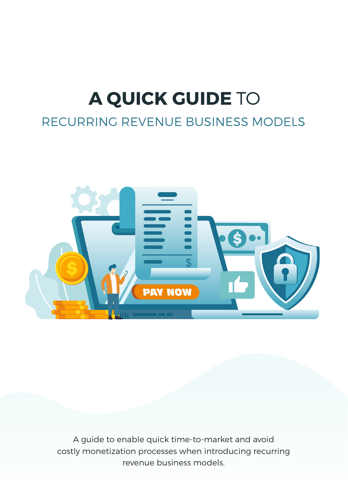# **A QUICK GUIDE** TO

### RECURRING REVENUE BUSINESS MODELS



A guide to enable quick time-to-market and avoid costly monetization processes when introducing recurring revenue business models.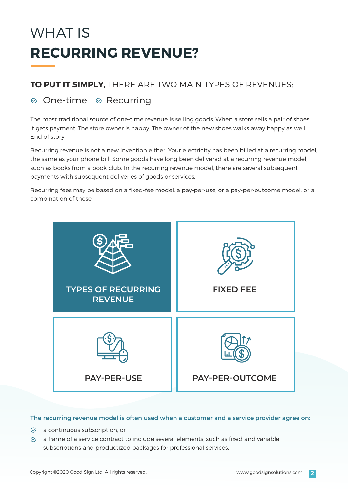# WHAT IS **RECURRING REVENUE?**

### **TO PUT IT SIMPLY,** THERE ARE TWO MAIN TYPES OF REVENUES:

### $\infty$  One-time  $\infty$  Recurring

The most traditional source of one-time revenue is selling goods. When a store sells a pair of shoes it gets payment. The store owner is happy. The owner of the new shoes walks away happy as well. End of story.

Recurring revenue is not a new invention either. Your electricity has been billed at a recurring model, the same as your phone bill. Some goods have long been delivered at a recurring revenue model, such as books from a book club. In the recurring revenue model, there are several subsequent payments with subsequent deliveries of goods or services.

Recurring fees may be based on a fixed-fee model, a pay-per-use, or a pay-per-outcome model, or a combination of these.



#### **The recurring revenue model is often used when a customer and a service provider agree on:**

- $\mathfrak{C}$  a continuous subscription, or
- $\heartsuit$  a frame of a service contract to include several elements, such as fixed and variable subscriptions and productized packages for professional services.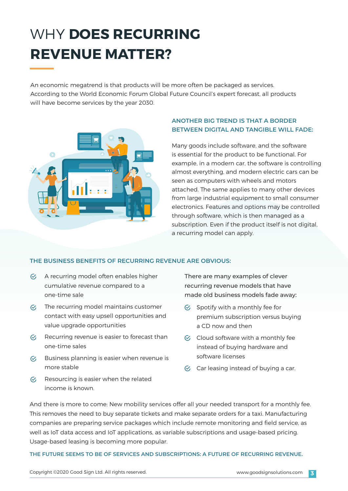### WHY **DOES RECURRING REVENUE MATTER?**

An economic megatrend is that products will be more often be packaged as services. According to the World Economic Forum Global Future Council's expert forecast, all products will have become services by the year 2030.



#### **ANOTHER BIG TREND IS THAT A BORDER BETWEEN DIGITAL AND TANGIBLE WILL FADE:**

Many goods include software, and the software is essential for the product to be functional. For example, in a modern car, the software is controlling almost everything, and modern electric cars can be seen as computers with wheels and motors attached. The same applies to many other devices from large industrial equipment to small consumer electronics. Features and options may be controlled through software, which is then managed as a subscription. Even if the product itself is not digital, a recurring model can apply.

#### **THE BUSINESS BENEFITS OF RECURRING REVENUE ARE OBVIOUS:**

- $\heartsuit$  A recurring model often enables higher cumulative revenue compared to a one-time sale
- $\infty$  The recurring model maintains customer contact with easy upsell opportunities and value upgrade opportunities
- $\heartsuit$  Recurring revenue is easier to forecast than one-time sales
- Business planning is easier when revenue is  $\mathcal{C}_I$ more stable
- Resourcing is easier when the related  $\varphi$ income is known.

There are many examples of clever recurring revenue models that have made old business models fade away:

- $\heartsuit$  Spotify with a monthly fee for premium subscription versus buying a CD now and then
- $\heartsuit$  Cloud software with a monthly fee instead of buying hardware and software licenses
- $\heartsuit$  Car leasing instead of buying a car.

And there is more to come: New mobility services offer all your needed transport for a monthly fee. This removes the need to buy separate tickets and make separate orders for a taxi. Manufacturing companies are preparing service packages which include remote monitoring and field service, as well as IoT data access and IoT applications, as variable subscriptions and usage-based pricing. Usage-based leasing is becoming more popular.

**THE FUTURE SEEMS TO BE OF SERVICES AND SUBSCRIPTIONS: A FUTURE OF RECURRING REVENUE.**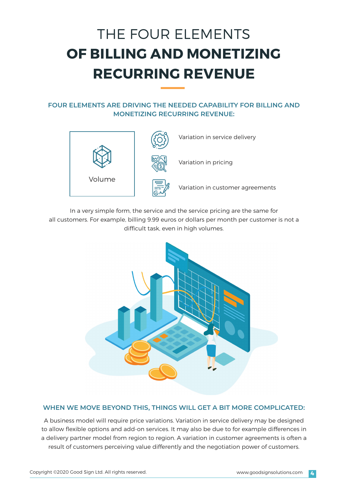### THE FOUR ELEMENTS **OF BILLING AND MONETIZING RECURRING REVENUE**

#### **FOUR ELEMENTS ARE DRIVING THE NEEDED CAPABILITY FOR BILLING AND MONETIZING RECURRING REVENUE:**



In a very simple form, the service and the service pricing are the same for all customers. For example, billing 9.99 euros or dollars per month per customer is not a difficult task, even in high volumes.



#### **WHEN WE MOVE BEYOND THIS, THINGS WILL GET A BIT MORE COMPLICATED:**

A business model will require price variations. Variation in service delivery may be designed to allow flexible options and add-on services. It may also be due to for example differences in a delivery partner model from region to region. A variation in customer agreements is often a result of customers perceiving value differently and the negotiation power of customers.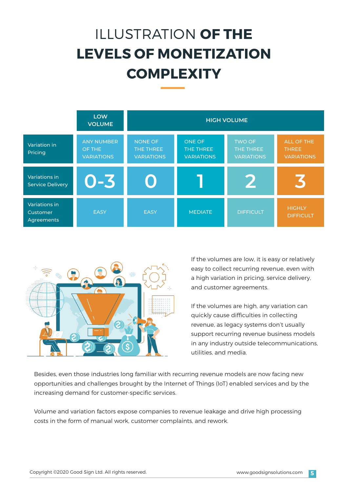# ILLUSTRATION **OF THE LEVELS OF MONETIZATION COMPLEXITY**





If the volumes are low, it is easy or relatively easy to collect recurring revenue, even with a high variation in pricing, service delivery, and customer agreements.

If the volumes are high, any variation can quickly cause difficulties in collecting revenue, as legacy systems don't usually support recurring revenue business models in any industry outside telecommunications, utilities, and media.

Besides, even those industries long familiar with recurring revenue models are now facing new opportunities and challenges brought by the Internet of Things (IoT) enabled services and by the increasing demand for customer-specific services.

Volume and variation factors expose companies to revenue leakage and drive high processing costs in the form of manual work, customer complaints, and rework.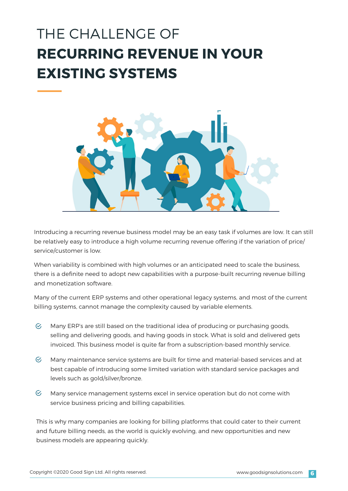### THE CHALLENGE OF **RECURRING REVENUE IN YOUR EXISTING SYSTEMS**



Introducing a recurring revenue business model may be an easy task if volumes are low. It can still be relatively easy to introduce a high volume recurring revenue offering if the variation of price/ service/customer is low.

When variability is combined with high volumes or an anticipated need to scale the business, there is a definite need to adopt new capabilities with a purpose-built recurring revenue billing and monetization software.

Many of the current ERP systems and other operational legacy systems, and most of the current billing systems, cannot manage the complexity caused by variable elements.

- $\mathcal{C}_{I}$ Many ERP's are still based on the traditional idea of producing or purchasing goods, selling and delivering goods, and having goods in stock. What is sold and delivered gets invoiced. This business model is quite far from a subscription-based monthly service.
- $\mathcal{C}$ Many maintenance service systems are built for time and material-based services and at best capable of introducing some limited variation with standard service packages and levels such as gold/silver/bronze.
- $\mathcal{G}$ Many service management systems excel in service operation but do not come with service business pricing and billing capabilities.

This is why many companies are looking for billing platforms that could cater to their current and future billing needs, as the world is quickly evolving, and new opportunities and new business models are appearing quickly.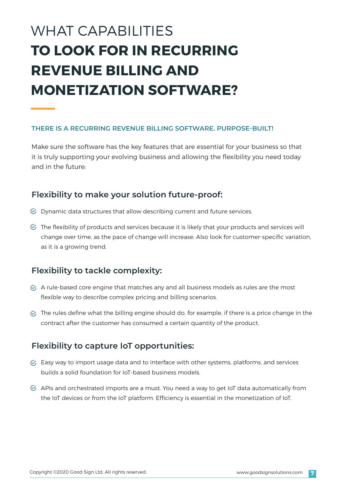### WHAT CAPABILITIES **TO LOOK FOR IN RECURRING REVENUE BILLING AND MONETIZATION SOFTWARE?**

#### **THERE IS A RECURRING REVENUE BILLING SOFTWARE. PURPOSE-BUILT!**

Make sure the software has the key features that are essential for your business so that it is truly supporting your evolving business and allowing the flexibility you need today and in the future:

#### **Flexibility to make your solution future-proof:**

- $\heartsuit$  Dynamic data structures that allow describing current and future services.
- $\heartsuit$  The flexibility of products and services because it is likely that your products and services will change over time, as the pace of change will increase. Also look for customer-specific variation, as it is a growing trend.

#### **Flexibility to tackle complexity:**

- $\heartsuit$  A rule-based core engine that matches any and all business models as rules are the most flexible way to describe complex pricing and billing scenarios.
- $\heartsuit$  The rules define what the billing engine should do, for example, if there is a price change in the contract after the customer has consumed a certain quantity of the product.

#### **Flexibility to capture IoT opportunities:**

- $\heartsuit$  Easy way to import usage data and to interface with other systems, platforms, and services builds a solid foundation for IoT-based business models.
- $\heartsuit$  APIs and orchestrated imports are a must. You need a way to get IoT data automatically from the IoT devices or from the IoT platform. Efficiency is essential in the monetization of IoT.